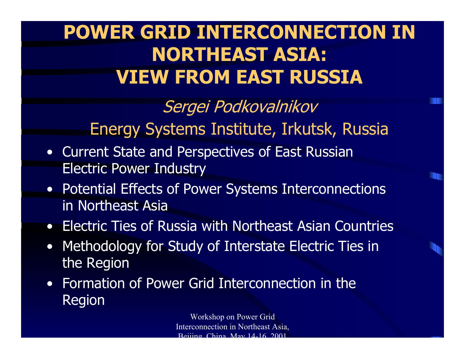# **POWER GRID INTERCONNECTION IN NORTHEAST ASIA: VIEW FROM EAST RUSSIA**

Sergei Podkovalnikov Energy Systems Institute, Irkutsk, Russia

- Current State and Perspectives of East Russian Electric Power Industry
- Potential Effects of Power Systems Interconnections in Northeast Asia
- Electric Ties of Russia with Northeast Asian Countries
- Methodology for Study of Interstate Electric Ties in the Region
- Formation of Power Grid Interconnection in the Region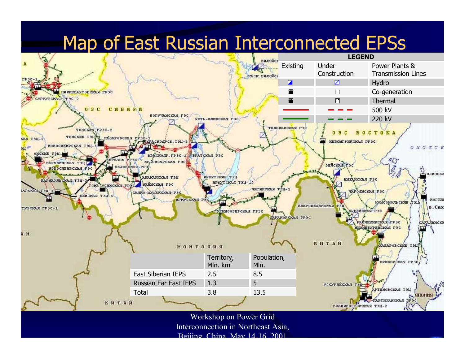## Map of East Russian Interconnected EPSs



 $D<sub>o</sub>$ ijing China May 14-16 2001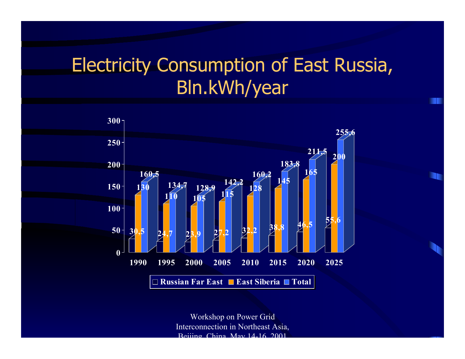# Electricity Consumption of East Russia, Bln.kWh/year

**THE** 

m

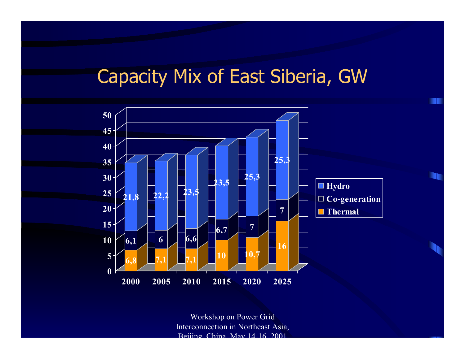#### Capacity Mix of East Siberia, GW

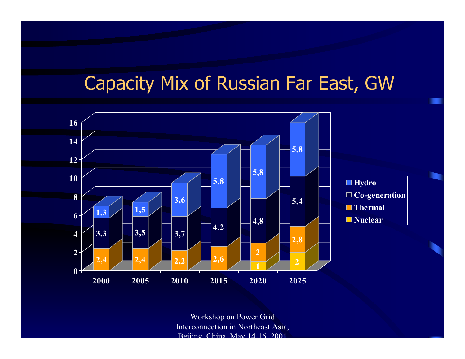# Capacity Mix of Russian Far East, GW

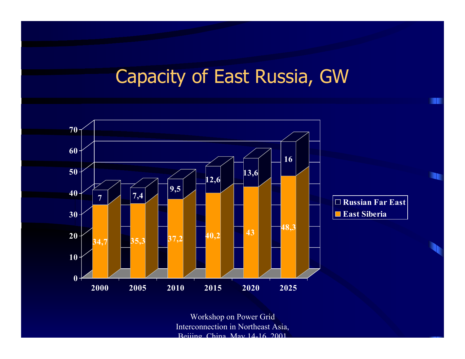#### Capacity of East Russia, GW

m

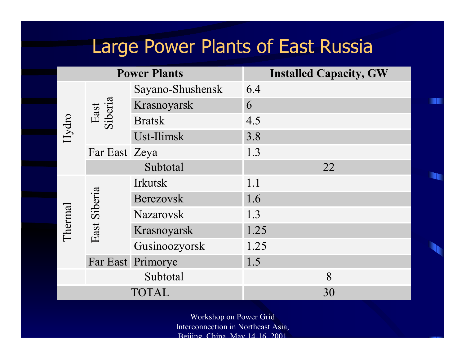#### Large Power Plants of East Russia

**I** 

**The Second Second** 

|         |                   | <b>Power Plants</b> | <b>Installed Capacity, GW</b> |    |  |  |
|---------|-------------------|---------------------|-------------------------------|----|--|--|
| Hydro   | East<br>Siberia   | Sayano-Shushensk    | 6.4                           |    |  |  |
|         |                   | Krasnoyarsk         | 6                             |    |  |  |
|         |                   | <b>Bratsk</b>       | 4.5                           |    |  |  |
|         |                   | Ust-Ilimsk          | 3.8                           |    |  |  |
|         | Far East Zeya     |                     | 1.3                           |    |  |  |
|         |                   | Subtotal            |                               | 22 |  |  |
| Thermal | East Siberia      | <b>Irkutsk</b>      | 1.1                           |    |  |  |
|         |                   | <b>Berezovsk</b>    | 1.6                           |    |  |  |
|         |                   | <b>Nazarovsk</b>    | 1.3                           |    |  |  |
|         |                   | Krasnoyarsk         | 1.25                          |    |  |  |
|         |                   | Gusinoozyorsk       | 1.25                          |    |  |  |
|         | Far East Primorye |                     | 1.5                           |    |  |  |
|         |                   | Subtotal            |                               | 8  |  |  |
|         |                   | <b>TOTAL</b>        |                               | 30 |  |  |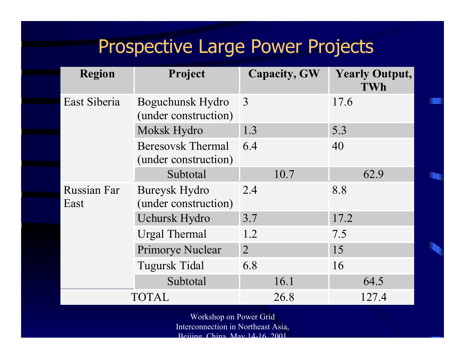## Prospective Large Power Projects

n

**A** 

| <b>Region</b>              | Project                                          | <b>Capacity, GW</b> | <b>Yearly Output,</b><br><b>TWh</b> |  |
|----------------------------|--------------------------------------------------|---------------------|-------------------------------------|--|
| East Siberia               | Boguchunsk Hydro<br>(under construction)         | 3                   | 17.6                                |  |
|                            | Moksk Hydro                                      | 1.3                 | 5.3                                 |  |
|                            | <b>Beresovsk Thermal</b><br>(under construction) | 6.4                 | 40                                  |  |
|                            | Subtotal                                         | 10.7                | 62.9                                |  |
| <b>Russian Far</b><br>East | <b>Bureysk Hydro</b><br>(under construction)     | 2.4                 | 8.8                                 |  |
|                            | <b>Uchursk Hydro</b>                             | 3.7                 | 17.2                                |  |
|                            | <b>Urgal Thermal</b>                             | 1.2                 | 7.5                                 |  |
|                            | <b>Primorye Nuclear</b>                          | $\overline{2}$      | 15                                  |  |
|                            | <b>Tugursk Tidal</b>                             | 6.8                 | 16                                  |  |
|                            | Subtotal                                         | 16.1                | 64.5                                |  |
|                            | <b>TOTAL</b>                                     | 26.8                | 127.4                               |  |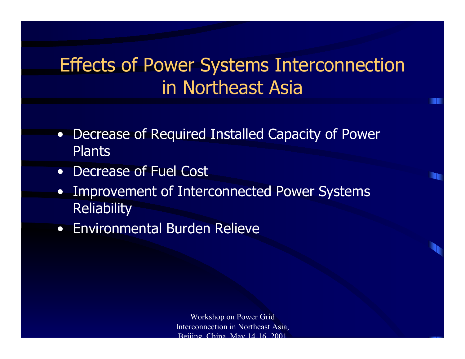# Effects of Power Systems Interconnection in Northeast Asia

- • Decrease of Required Installed Capacity of Power **Plants**
- •Decrease of Fuel Cost
- • Improvement of Interconnected Power Systems **Reliability**
- Environmental Burden Relieve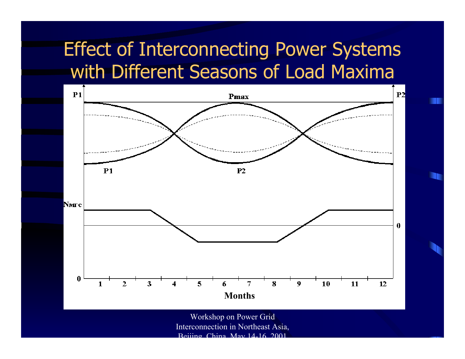## Effect of Interconnecting Power Systems with Different Seasons of Load Maxima



n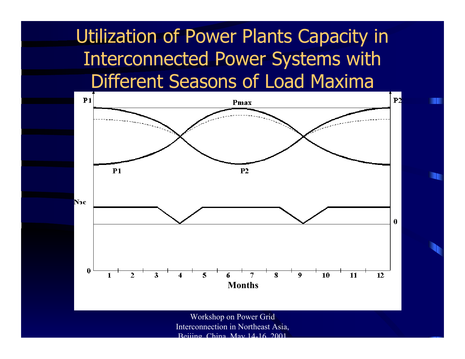Utilization of Power Plants Capacity in Interconnected Power Systems with Different Seasons of Load Maxima

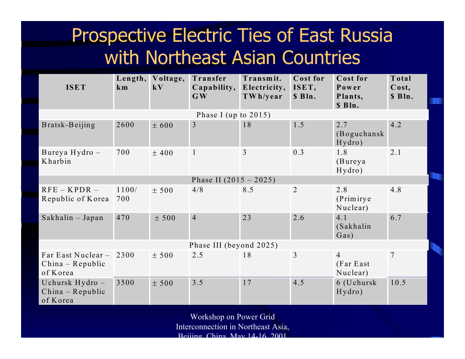# Prospective Electric Ties of East Russia with Northeast Asian Countries

| <b>ISET</b>                                          | Length,<br>km | Voltage,<br>$\mathbf{k}$ <b>V</b> | Transfer<br>Capability,<br>$\mathbf{G}\mathbf{W}$ | Transmit.<br>Electricity,<br>TWh/year | Cost for<br>ISET,<br>\$ Bln. | Cost for<br>Power<br>Plants,<br>\$ Bln. | Total<br>$\cos t$ ,<br>\$ Bln. |
|------------------------------------------------------|---------------|-----------------------------------|---------------------------------------------------|---------------------------------------|------------------------------|-----------------------------------------|--------------------------------|
| Phase I (up to $2015$ )                              |               |                                   |                                                   |                                       |                              |                                         |                                |
| Bratsk-Beijing                                       | 2600          | ± 600                             | $\overline{3}$                                    | 18                                    | 1.5                          | 2.7<br>(Boguchansk<br>Hydro)            | 4.2                            |
| Bureya Hydro-<br>Kharbin                             | 700           | $±$ 400                           | $\mathbf{1}$                                      | $\overline{3}$                        | 0.3                          | 1.8<br>(Bureya<br>Hydro)                | 2.1                            |
| Phase II $(2015 - 2025)$                             |               |                                   |                                                   |                                       |                              |                                         |                                |
| $RFE - KPDR -$<br>Republic of Korea                  | 1100/<br>700  | ± 500                             | 4/8                                               | 8.5                                   | $\overline{2}$               | 2.8<br>(Primirye)<br>Nuclear)           | 4.8                            |
| Sakhalin - Japan                                     | 470           | ± 500                             | $\overline{4}$                                    | 23                                    | 2.6                          | 4.1<br>(Sakhalin<br>Gas)                | 6.7                            |
| Phase III (beyond 2025)                              |               |                                   |                                                   |                                       |                              |                                         |                                |
| Far East Nuclear -<br>$China - Republic$<br>of Korea | 2300          | ± 500                             | 2.5                                               | 18                                    | $\overline{3}$               | $\overline{4}$<br>(Far East<br>Nuclear) | $\overline{7}$                 |
| Uchursk Hydro-<br>$China - Republic$<br>of Korea     | 3500          | ± 500                             | 3.5                                               | 17                                    | 4.5                          | 6 (Uchursk<br>Hydro)                    | 10.5                           |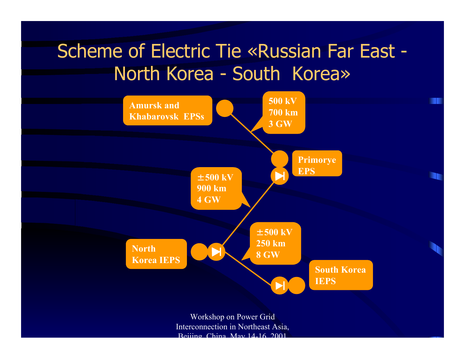# Scheme of Electric Tie «Russian Far East - North Korea - South Korea»

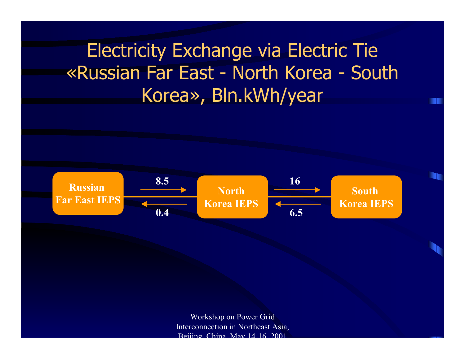# Electricity Exchange via Electric Tie «Russian Far East - North Korea - South Korea», Bln.kWh/year

m

n

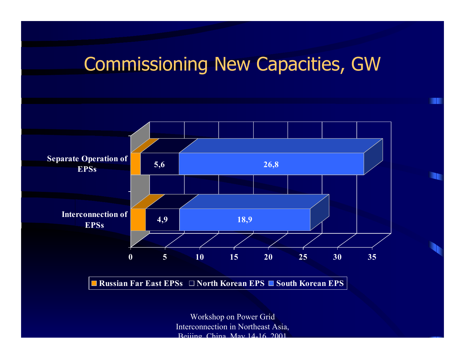#### Commissioning New Capacities, GW

n

**I** 



**Russian Far East EPSs North Korean EPS South Korean EPS**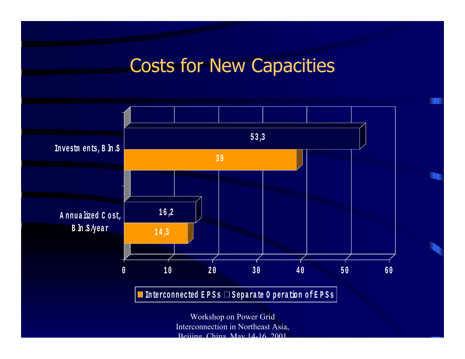#### Costs for New Capacities

m

**I** 



Interconnection in Northeast Asia,  $D<sub>o</sub>$  China May 14-16 2001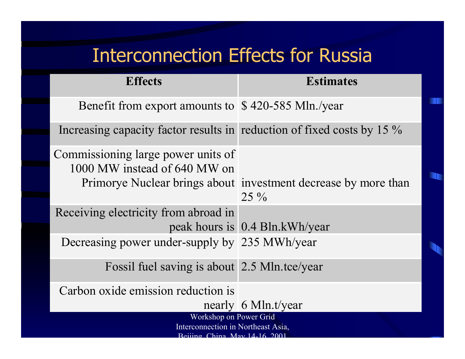### Interconnection Effects for Russia

m

n.

| <b>Effects</b>                                                         | <b>Estimates</b>                                                         |  |  |  |
|------------------------------------------------------------------------|--------------------------------------------------------------------------|--|--|--|
| Benefit from export amounts to \$420-585 Mln./year                     |                                                                          |  |  |  |
| Increasing capacity factor results in reduction of fixed costs by 15 % |                                                                          |  |  |  |
| Commissioning large power units of<br>1000 MW instead of 640 MW on     | Primorye Nuclear brings about investment decrease by more than<br>$25\%$ |  |  |  |
| Receiving electricity from abroad in                                   |                                                                          |  |  |  |
|                                                                        | peak hours is 0.4 Bln.kWh/year                                           |  |  |  |
| Decreasing power under-supply by 235 MWh/year                          |                                                                          |  |  |  |
| Fossil fuel saving is about 2.5 Mln.tce/year                           |                                                                          |  |  |  |
| Carbon oxide emission reduction is                                     |                                                                          |  |  |  |
|                                                                        | nearly 6 Mln.t/year                                                      |  |  |  |
| Workshop on Power Grid                                                 |                                                                          |  |  |  |
| Interconnection in Northeast Asia,<br>Rejijng China May 14 16 2001     |                                                                          |  |  |  |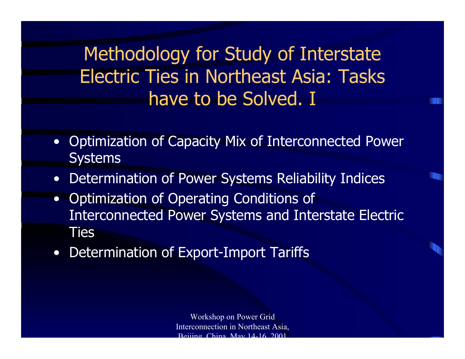Methodology for Study of Interstate Electric Ties in Northeast Asia: Tasks have to be Solved. I

- • Optimization of Capacity Mix of Interconnected Power **Systems**
- $\bullet$ Determination of Power Systems Reliability Indices
- $\bullet$  Optimization of Operating Conditions of Interconnected Power Systems and Interstate Electric Ties
- $\bullet$ Determination of Export-Import Tariffs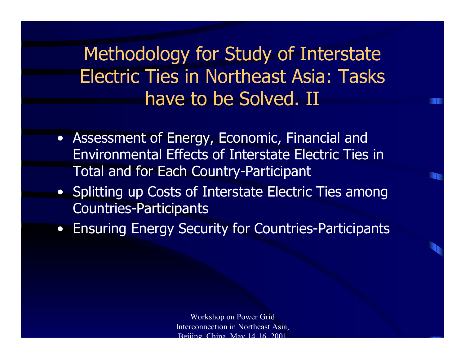Methodology for Study of Interstate Electric Ties in Northeast Asia: Tasks have to be Solved. II

- Assessment of Energy, Economic, Financial and Environmental Effects of Interstate Electric Ties in Total and for Each Country-Participant
- Splitting up Costs of Interstate Electric Ties among Countries-Participants
- $\bullet$ Ensuring Energy Security for Countries-Participants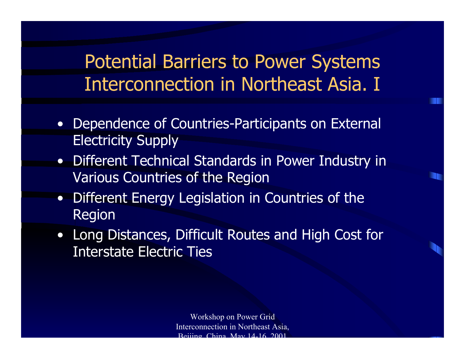Potential Barriers to Power Systems Interconnection in Northeast Asia. I

- Dependence of Countries-Participants on External Electricity Supply
- Different Technical Standards in Power Industry in Various Countries of the Region

n

- • Different Energy Legislation in Countries of the Region
- Long Distances, Difficult Routes and High Cost for Interstate Electric Ties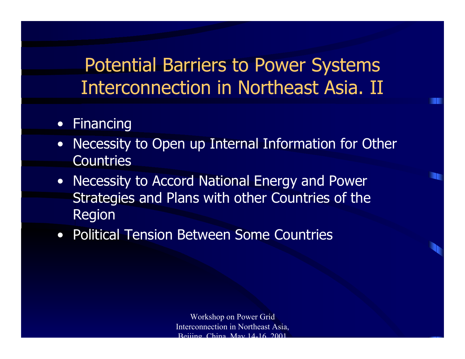Potential Barriers to Power Systems Interconnection in Northeast Asia. II

#### • Financing

- • Necessity to Open up Internal Information for Other Countries
- Necessity to Accord National Energy and Power Strategies and Plans with other Countries of the Region
- Political Tension Between Some Countries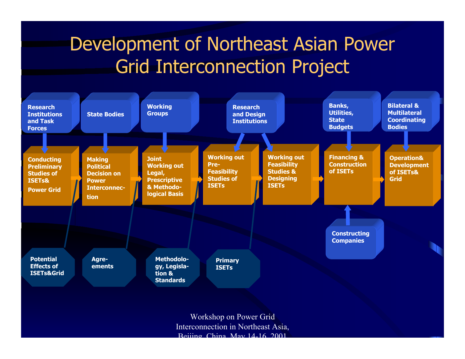# Development of Northeast Asian Power Grid Interconnection Project

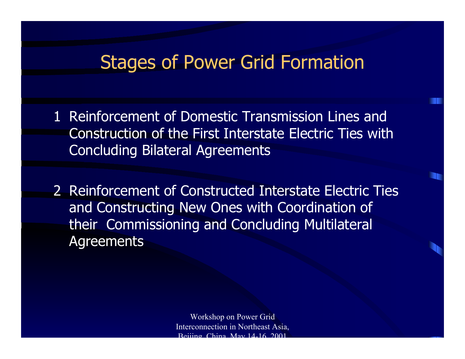#### Stages of Power Grid Formation

- 1 Reinforcement of Domestic Transmission Lines and Construction of the First Interstate Electric Ties with Concluding Bilateral Agreements
- 2 Reinforcement of Constructed Interstate Electric Ties and Constructing New Ones with Coordination of their Commissioning and Concluding Multilateral **Agreements**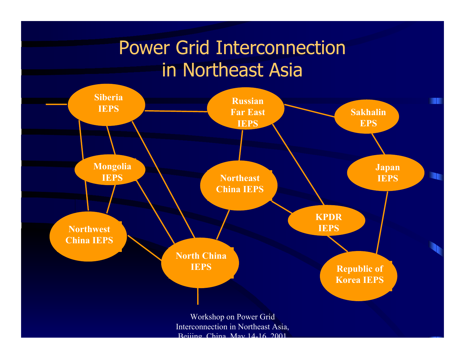# Power Grid Interconnection in Northeast Asia